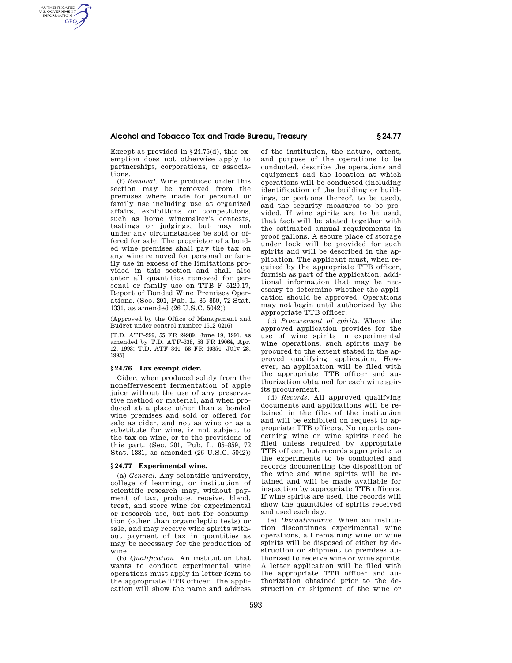## **Alcohol and Tobacco Tax and Trade Bureau, Treasury § 24.77**

Except as provided in §24.75(d), this exemption does not otherwise apply to partnerships, corporations, or associations.

AUTHENTICATED<br>U.S. GOVERNMENT<br>INFORMATION **GPO** 

> (f) *Removal.* Wine produced under this section may be removed from the premises where made for personal or family use including use at organized affairs, exhibitions or competitions, such as home winemaker's contests, tastings or judgings, but may not under any circumstances be sold or offered for sale. The proprietor of a bonded wine premises shall pay the tax on any wine removed for personal or family use in excess of the limitations provided in this section and shall also enter all quantities removed for personal or family use on TTB F 5120.17. Report of Bonded Wine Premises Operations. (Sec. 201, Pub. L. 85–859, 72 Stat. 1331, as amended (26 U.S.C. 5042))

(Approved by the Office of Management and Budget under control number 1512–0216)

[T.D. ATF–299, 55 FR 24989, June 19, 1991, as amended by T.D. ATF–338, 58 FR 19064, Apr. 12, 1993; T.D. ATF–344, 58 FR 40354, July 28, 1993]

# **§ 24.76 Tax exempt cider.**

Cider, when produced solely from the noneffervescent fermentation of apple juice without the use of any preservative method or material, and when produced at a place other than a bonded wine premises and sold or offered for sale as cider, and not as wine or as a substitute for wine, is not subject to the tax on wine, or to the provisions of this part. (Sec. 201, Pub. L. 85–859, 72 Stat. 1331, as amended (26 U.S.C. 5042))

### **§ 24.77 Experimental wine.**

(a) *General.* Any scientific university, college of learning, or institution of scientific research may, without payment of tax, produce, receive, blend, treat, and store wine for experimental or research use, but not for consumption (other than organoleptic tests) or sale, and may receive wine spirits without payment of tax in quantities as may be necessary for the production of wine.

(b) *Qualification.* An institution that wants to conduct experimental wine operations must apply in letter form to the appropriate TTB officer. The application will show the name and address

of the institution, the nature, extent, and purpose of the operations to be conducted, describe the operations and equipment and the location at which operations will be conducted (including identification of the building or buildings, or portions thereof, to be used), and the security measures to be provided. If wine spirits are to be used, that fact will be stated together with the estimated annual requirements in proof gallons. A secure place of storage under lock will be provided for such spirits and will be described in the application. The applicant must, when required by the appropriate TTB officer, furnish as part of the application, additional information that may be necessary to determine whether the application should be approved. Operations may not begin until authorized by the appropriate TTB officer.

(c) *Procurement of spirits.* Where the approved application provides for the use of wine spirits in experimental wine operations, such spirits may be procured to the extent stated in the approved qualifying application. However, an application will be filed with the appropriate TTB officer and authorization obtained for each wine spirits procurement.

(d) *Records.* All approved qualifying documents and applications will be retained in the files of the institution and will be exhibited on request to appropriate TTB officers. No reports concerning wine or wine spirits need be filed unless required by appropriate TTB officer, but records appropriate to the experiments to be conducted and records documenting the disposition of the wine and wine spirits will be retained and will be made available for inspection by appropriate TTB officers. If wine spirits are used, the records will show the quantities of spirits received and used each day.

(e) *Discontinuance.* When an institution discontinues experimental wine operations, all remaining wine or wine spirits will be disposed of either by destruction or shipment to premises authorized to receive wine or wine spirits. A letter application will be filed with the appropriate TTB officer and authorization obtained prior to the destruction or shipment of the wine or